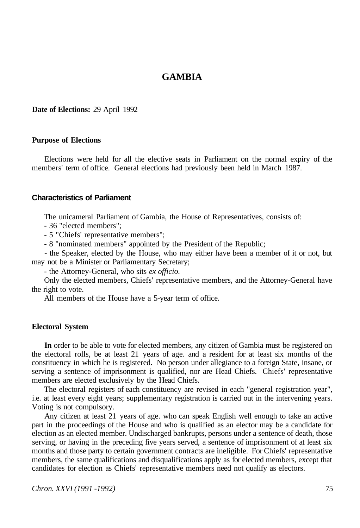# **GAMBIA**

#### **Date of Elections:** 29 April 1992

# **Purpose of Elections**

Elections were held for all the elective seats in Parliament on the normal expiry of the members' term of office. General elections had previously been held in March 1987.

### **Characteristics of Parliament**

The unicameral Parliament of Gambia, the House of Representatives, consists of:

- 36 "elected members";
- 5 "Chiefs' representative members";
- 8 "nominated members" appointed by the President of the Republic;

- the Speaker, elected by the House, who may either have been a member of it or not, but may not be a Minister or Parliamentary Secretary;

- the Attorney-General, who sits *ex officio.* 

Only the elected members, Chiefs' representative members, and the Attorney-General have the right to vote.

All members of the House have a 5-year term of office.

# **Electoral System**

**In** order to be able to vote for elected members, any citizen of Gambia must be registered on the electoral rolls, be at least 21 years of age. and a resident for at least six months of the constituency in which he is registered. No person under allegiance to a foreign State, insane, or serving a sentence of imprisonment is qualified, nor are Head Chiefs. Chiefs' representative members are elected exclusively by the Head Chiefs.

The electoral registers of each constituency are revised in each "general registration year", i.e. at least every eight years; supplementary registration is carried out in the intervening years. Voting is not compulsory.

Any citizen at least 21 years of age. who can speak English well enough to take an active part in the proceedings of the House and who is qualified as an elector may be a candidate for election as an elected member. Undischarged bankrupts, persons under a sentence of death, those serving, or having in the preceding five years served, a sentence of imprisonment of at least six months and those party to certain government contracts are ineligible. For Chiefs' representative members, the same qualifications and disqualifications apply as for elected members, except that candidates for election as Chiefs' representative members need not qualify as electors.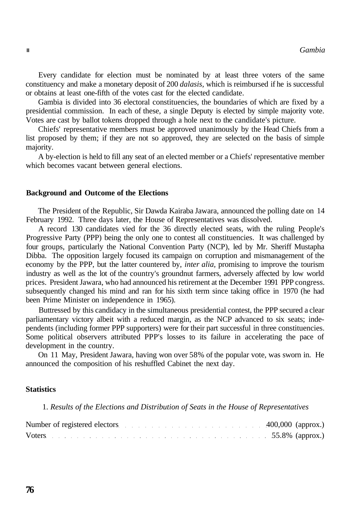Every candidate for election must be nominated by at least three voters of the same constituency and make a monetary deposit of 200 *dalasis,* which is reimbursed if he is successful or obtains at least one-fifth of the votes cast for the elected candidate.

Gambia is divided into 36 electoral constituencies, the boundaries of which are fixed by a presidential commission. In each of these, a single Deputy is elected by simple majority vote. Votes are cast by ballot tokens dropped through a hole next to the candidate's picture.

Chiefs' representative members must be approved unanimously by the Head Chiefs from a list proposed by them; if they are not so approved, they are selected on the basis of simple majority.

A by-election is held to fill any seat of an elected member or a Chiefs' representative member which becomes vacant between general elections.

## **Background and Outcome of the Elections**

The President of the Republic, Sir Dawda Kairaba Jawara, announced the polling date on 14 February 1992. Three days later, the House of Representatives was dissolved.

A record 130 candidates vied for the 36 directly elected seats, with the ruling People's Progressive Party (PPP) being the only one to contest all constituencies. It was challenged by four groups, particularly the National Convention Party (NCP), led by Mr. Sheriff Mustapha Dibba. The opposition largely focused its campaign on corruption and mismanagement of the economy by the PPP, but the latter countered by, *inter alia,* promising to improve the tourism industry as well as the lot of the country's groundnut farmers, adversely affected by low world prices. President Jawara, who had announced his retirement at the December 1991 PPP congress. subsequently changed his mind and ran for his sixth term since taking office in 1970 (he had been Prime Minister on independence in 1965).

Buttressed by this candidacy in the simultaneous presidential contest, the PPP secured a clear parliamentary victory albeit with a reduced margin, as the NCP advanced to six seats; independents (including former PPP supporters) were for their part successful in three constituencies. Some political observers attributed PPP's losses to its failure in accelerating the pace of development in the country.

On 11 May, President Jawara, having won over 58% of the popular vote, was sworn in. He announced the composition of his reshuffled Cabinet the next day.

# **Statistics**

1. *Results of the Elections and Distribution of Seats in the House of Representatives*